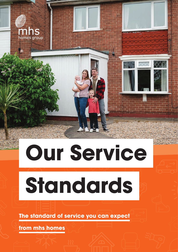

# **Our Service**

 **Standards** 

**The standard of service you can expect**

**from mhs homes**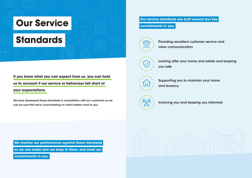### **Our Service**

## **Standards**

**If you know what you can expect from us, you can hold us to account if our service or behaviour fall short of** 

#### **your expectations.**

We have developed these standards in consultation with our customers so we can be sure that we're concentrating on what matters most to you.

#### **Our service standards are built around four key commitments to you:**

### Providing excellent customer service and

clear communication

Supporting you to maintain your home and tenancy

Looking after your home and estate and keeping you safe

Involving you and keeping you informed













 **We monitor our performance against these standards** 

 **so we can make sure we keep to them, and meet our** 

 **commitments to you.**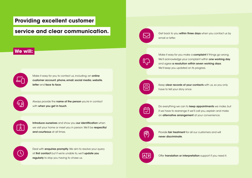#### **Providing excellent customer**

#### **service and clear communication.**

#### **We will:**

Make it easy for you to contact us, including; an online customer account, phone, email, social media, website, letter and face to face.

<u>(g)</u>

۴Ò

with when you get in touch.

Always provide the name of the person you're in contact

Introduce ourselves and show you our identification when we visit your home or meet you in person. We'll be respectful and courteous at all times.

Do everything we can to **keep appointments** we make, but if we have to rearrange it we'll call you, explain and make an alternative arrangement at your convenience.

Keep clear records of your contacts with us, so you only have to tell your story once.

Get back to you within three days when you contact us by email or letter.

Provide **fair treatment** for all our customers and will never discriminate.





Offer translation or interpretation support if you need it.



Deal with **enquiries promptly**. We aim to resolve your query at first contact but if we're unable to, we'll update you regularly to stop you having to chase us.



Make it easy for you make a **complaint** if things go wrong. We'll acknowledge your complaint within one working day and agree a resolution within seven working days. We'll keep you updated on its progress.







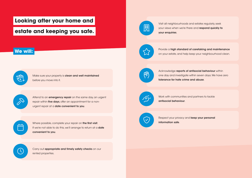#### **Looking after your home and**

#### **estate and keeping you safe.**

#### **We will:**

Make sure your property is clean and well maintained before you move into it.

Carry out **appropriate and timely safety checks** on our rented properties.

 $\mathcal{P}$ 

 $\sqrt[4]{10}$ 

Attend to an **emergency repair** on the same day, an urgent repair within **five days**, offer an appointment for a nonurgent repair at a date convenient to you.

Acknowledge reports of antisocial behaviour within one day and investigate within seven days. We have zero tolerance for hate crime and abuse.

بولكر

Where possible, complete your repair on the first visit. If we're not able to do this, we'll arrange to return at a **date** convenient to you.

 $\bigcirc$ 

Visit all neighbourhoods and estates regularly, seek your views when we're there and respond quickly to your enquiries.

Provide a high standard of caretaking and maintenance on your estate, and help keep your neighbourhood clean.

Work with communities and partners to tackle antisocial behaviour.



Respect your privacy and keep your personal information safe.







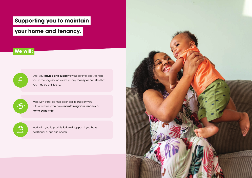### **Supporting you to maintain**

#### **your home and tenancy.**

#### **We will:**

 $E$ 

Work with you to provide tailored support if you have additional or specific needs.



Offer you **advice and support** if you get into debt, to help you to manage it and claim for any money or benefits that you may be entitled to.

برتابر

Work with other partner agencies to support you with any issues you have maintaining your tenancy or home ownership.

 $\Omega$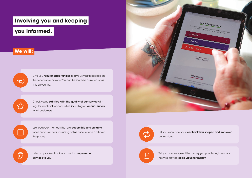#### **Involving you and keeping**

#### **you informed.**

#### **We will:**

 $\bigoplus$ 

 $\sum$ 

Give you regular opportunities to give us your feedback on the services we provide. You can be involved as much or as little as you like.

Check you're satisfied with the quality of our service with regular feedback opportunities, including an annual survey for all customers.

Use feedback methods that are accessible and suitable for all our customers, including online, face to face and over the phone. for all our customers, including online, face to face and over<br>the phone.

Expanding the United Solutions of the United States of the United States of the United States of the United States of the United States of the United States of the United States of the United States of the United States of services to you.

Tell you how we spend the money you pay through rent and how we provide good value for money.



#### Let you know how your feedback has shaped and improved



our services.